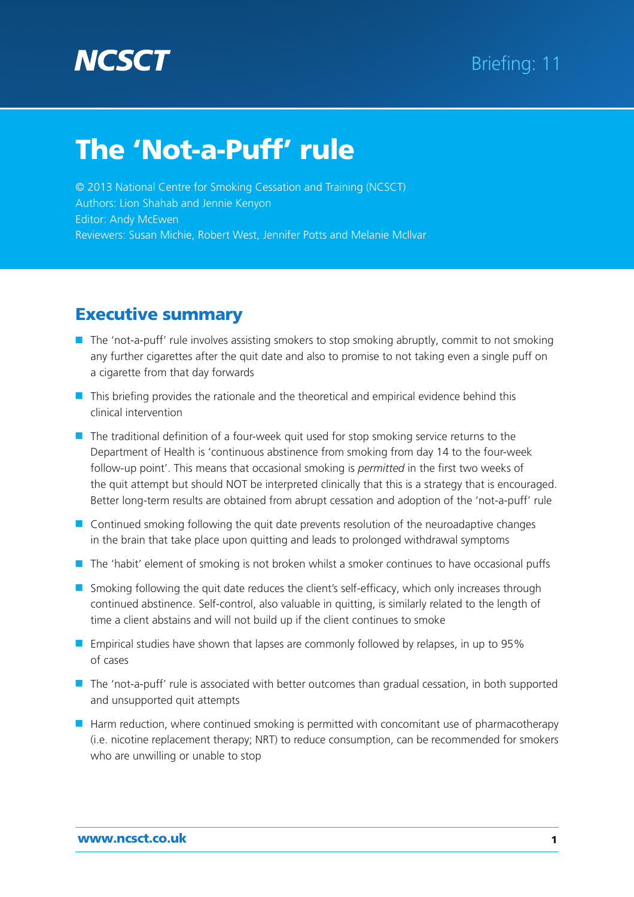# **NCSC**

# The 'Not-a-Puff' rule

© 2013 National Centre for Smoking Cessation and Training (NCSCT) Authors: Lion Shahab and Jennie Kenyon Editor: Andy McEwen Reviewers: Susan Michie, Robert West, Jennifer Potts and Melanie McIlvar

# **Executive summary**

- The 'not-a-puff' rule involves assisting smokers to stop smoking abruptly, commit to not smoking any further cigarettes after the quit date and also to promise to not taking even a single puff on a cigarette from that day forwards
- This briefing provides the rationale and the theoretical and empirical evidence behind this clinical intervention
- The traditional definition of a four-week quit used for stop smoking service returns to the Department of Health is 'continuous abstinence from smoking from day 14 to the four-week follow-up point'. This means that occasional smoking is *permitted* in the first two weeks of the quit attempt but should NOT be interpreted clinically that this is a strategy that is encouraged. Better long-term results are obtained from abrupt cessation and adoption of the 'not-a-puff' rule
- Continued smoking following the quit date prevents resolution of the neuroadaptive changes in the brain that take place upon quitting and leads to prolonged withdrawal symptoms
- The 'habit' element of smoking is not broken whilst a smoker continues to have occasional puffs
- Smoking following the quit date reduces the client's self-efficacy, which only increases through continued abstinence. Self-control, also valuable in quitting, is similarly related to the length of time a client abstains and will not build up if the client continues to smoke
- Empirical studies have shown that lapses are commonly followed by relapses, in up to 95% of cases
- The 'not-a-puff' rule is associated with better outcomes than gradual cessation, in both supported and unsupported quit attempts
- Harm reduction, where continued smoking is permitted with concomitant use of pharmacotherapy (i.e. nicotine replacement therapy; NRT) to reduce consumption, can be recommended for smokers who are unwilling or unable to stop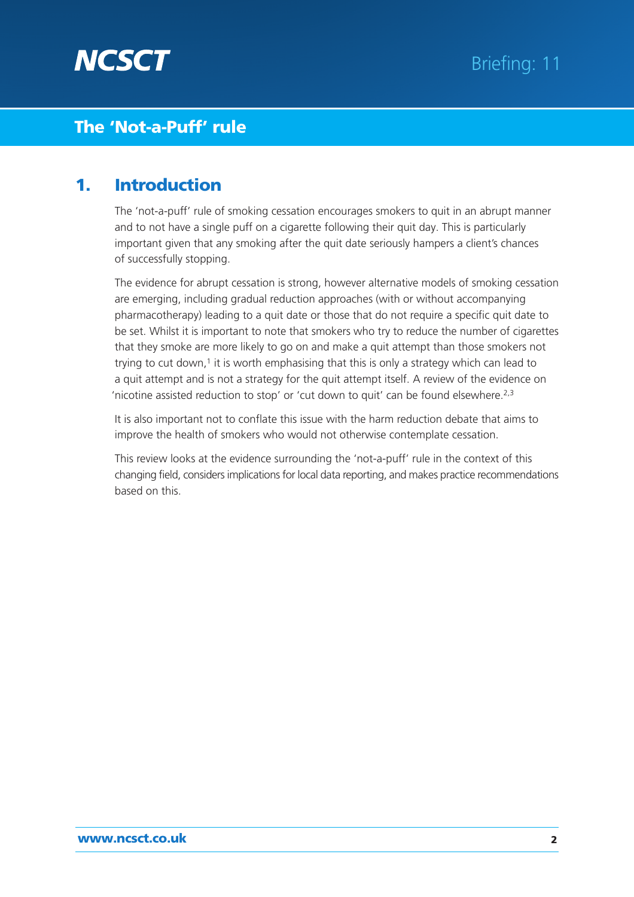

### **1. Introduction**

The 'not-a-puff' rule of smoking cessation encourages smokers to quit in an abrupt manner and to not have a single puff on a cigarette following their quit day. This is particularly important given that any smoking after the quit date seriously hampers a client's chances of successfully stopping.

The evidence for abrupt cessation is strong, however alternative models of smoking cessation are emerging, including gradual reduction approaches (with or without accompanying pharmacotherapy) leading to a quit date or those that do not require a specific quit date to be set. Whilst it is important to note that smokers who try to reduce the number of cigarettes that they smoke are more likely to go on and make a quit attempt than those smokers not trying to cut down, $1$  it is worth emphasising that this is only a strategy which can lead to a quit attempt and is not a strategy for the quit attempt itself. A review of the evidence on 'nicotine assisted reduction to stop' or 'cut down to quit' can be found elsewhere.2,3

It is also important not to conflate this issue with the harm reduction debate that aims to improve the health of smokers who would not otherwise contemplate cessation.

This review looks at the evidence surrounding the 'not-a-puff' rule in the context of this changing field, considers implications for local data reporting, and makes practice recommendations based on this.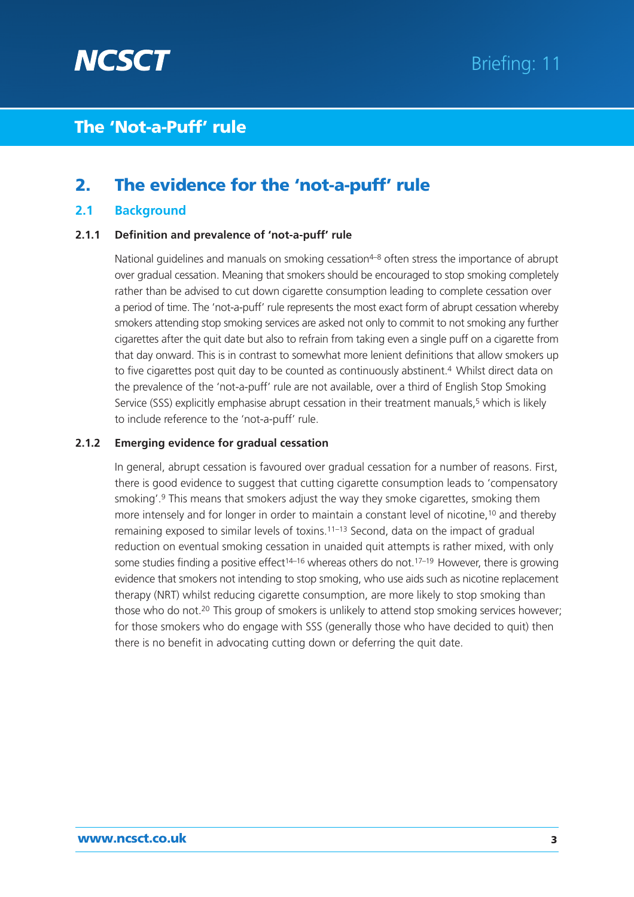

### **2. The evidence for the 'not-a-puff' rule**

### **2.1 Background**

#### **2.1.1 Definition and prevalence of 'not-a-puff' rule**

National guidelines and manuals on smoking cessation<sup>4-8</sup> often stress the importance of abrupt over gradual cessation. Meaning that smokers should be encouraged to stop smoking completely rather than be advised to cut down cigarette consumption leading to complete cessation over a period of time. The 'not-a-puff' rule represents the most exact form of abrupt cessation whereby smokers attending stop smoking services are asked not only to commit to not smoking any further cigarettes after the quit date but also to refrain from taking even a single puff on a cigarette from that day onward. This is in contrast to somewhat more lenient definitions that allow smokers up to five cigarettes post quit day to be counted as continuously abstinent.<sup>4</sup> Whilst direct data on the prevalence of the 'not-a-puff' rule are not available, over a third of English Stop Smoking Service (SSS) explicitly emphasise abrupt cessation in their treatment manuals.<sup>5</sup> which is likely to include reference to the 'not-a-puff' rule.

### **2.1.2 Emerging evidence for gradual cessation**

In general, abrupt cessation is favoured over gradual cessation for a number of reasons. First, there is good evidence to suggest that cutting cigarette consumption leads to 'compensatory smoking'.9 This means that smokers adjust the way they smoke cigarettes, smoking them more intensely and for longer in order to maintain a constant level of nicotine,<sup>10</sup> and thereby remaining exposed to similar levels of toxins.11–13 Second, data on the impact of gradual reduction on eventual smoking cessation in unaided quit attempts is rather mixed, with only some studies finding a positive effect<sup>14–16</sup> whereas others do not.<sup>17–19</sup> However, there is growing evidence that smokers not intending to stop smoking, who use aids such as nicotine replacement therapy (NRT) whilst reducing cigarette consumption, are more likely to stop smoking than those who do not.<sup>20</sup> This group of smokers is unlikely to attend stop smoking services however; for those smokers who do engage with SSS (generally those who have decided to quit) then there is no benefit in advocating cutting down or deferring the quit date.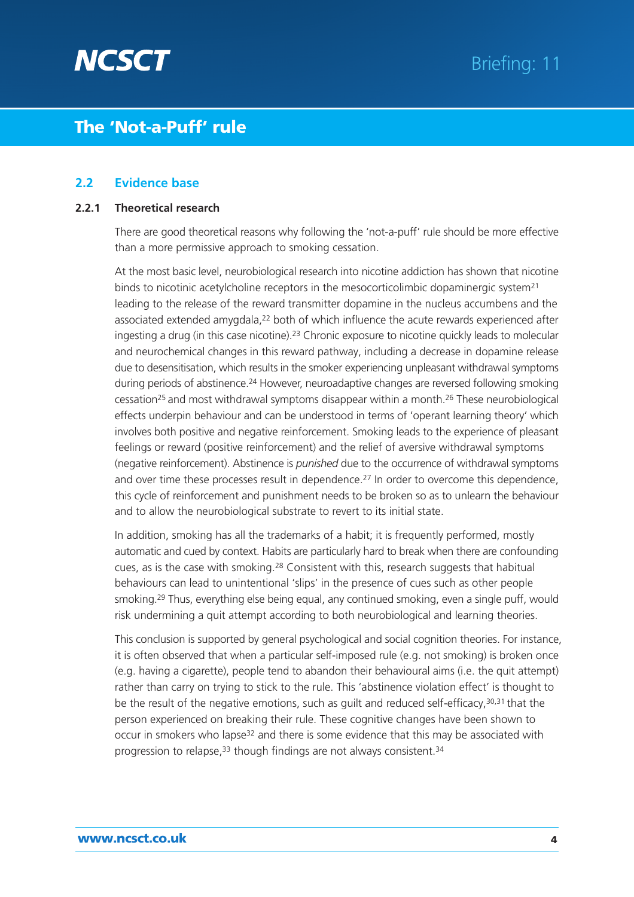

### **2.2 Evidence base**

#### **2.2.1 Theoretical research**

There are good theoretical reasons why following the 'not-a-puff' rule should be more effective than a more permissive approach to smoking cessation.

At the most basic level, neurobiological research into nicotine addiction has shown that nicotine binds to nicotinic acetylcholine receptors in the mesocorticolimbic dopaminergic system<sup>21</sup> leading to the release of the reward transmitter dopamine in the nucleus accumbens and the associated extended amygdala,<sup>22</sup> both of which influence the acute rewards experienced after ingesting a drug (in this case nicotine).23 Chronic exposure to nicotine quickly leads to molecular and neurochemical changes in this reward pathway, including a decrease in dopamine release due to desensitisation, which results in the smoker experiencing unpleasant withdrawal symptoms during periods of abstinence.24 However, neuroadaptive changes are reversed following smoking cessation25 and most withdrawal symptoms disappear within a month.26 These neurobiological effects underpin behaviour and can be understood in terms of 'operant learning theory' which involves both positive and negative reinforcement. Smoking leads to the experience of pleasant feelings or reward (positive reinforcement) and the relief of aversive withdrawal symptoms (negative reinforcement). Abstinence is *punished* due to the occurrence of withdrawal symptoms and over time these processes result in dependence.<sup>27</sup> In order to overcome this dependence, this cycle of reinforcement and punishment needs to be broken so as to unlearn the behaviour and to allow the neurobiological substrate to revert to its initial state.

In addition, smoking has all the trademarks of a habit; it is frequently performed, mostly automatic and cued by context. Habits are particularly hard to break when there are confounding cues, as is the case with smoking.28 Consistent with this, research suggests that habitual behaviours can lead to unintentional 'slips' in the presence of cues such as other people smoking.29 Thus, everything else being equal, any continued smoking, even a single puff, would risk undermining a quit attempt according to both neurobiological and learning theories.

This conclusion is supported by general psychological and social cognition theories. For instance, it is often observed that when a particular self-imposed rule (e.g. not smoking) is broken once (e.g. having a cigarette), people tend to abandon their behavioural aims (i.e. the quit attempt) rather than carry on trying to stick to the rule. This 'abstinence violation effect' is thought to be the result of the negative emotions, such as guilt and reduced self-efficacy,<sup>30,31</sup> that the person experienced on breaking their rule. These cognitive changes have been shown to occur in smokers who lapse32 and there is some evidence that this may be associated with progression to relapse,<sup>33</sup> though findings are not always consistent.<sup>34</sup>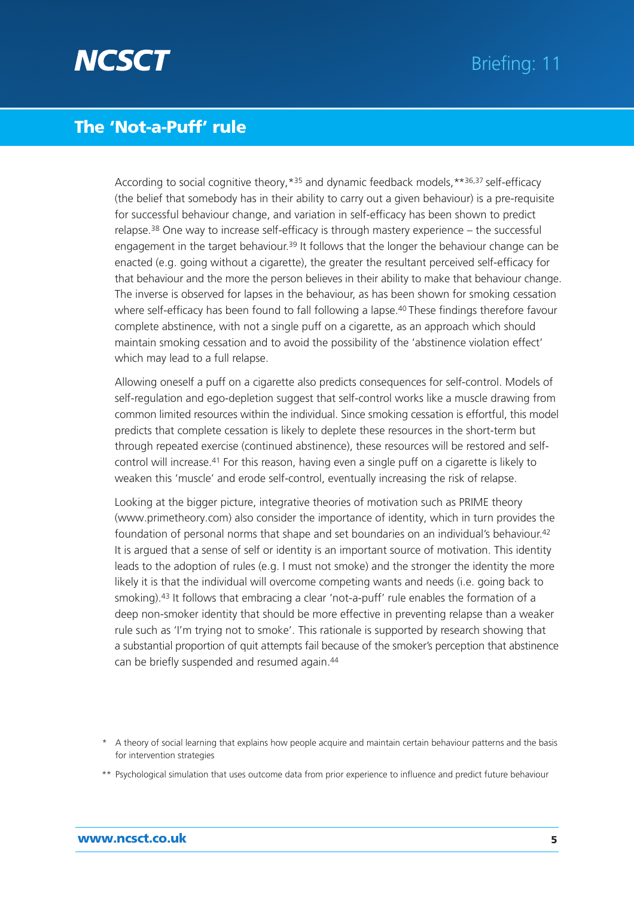

According to social cognitive theory,  $*35$  and dynamic feedback models,  $*36,37$  self-efficacy (the belief that somebody has in their ability to carry out a given behaviour) is a pre-requisite for successful behaviour change, and variation in self-efficacy has been shown to predict relapse.38 One way to increase self-efficacy is through mastery experience – the successful engagement in the target behaviour.<sup>39</sup> It follows that the longer the behaviour change can be enacted (e.g. going without a cigarette), the greater the resultant perceived self-efficacy for that behaviour and the more the person believes in their ability to make that behaviour change. The inverse is observed for lapses in the behaviour, as has been shown for smoking cessation where self-efficacy has been found to fall following a lapse.<sup>40</sup> These findings therefore favour complete abstinence, with not a single puff on a cigarette, as an approach which should maintain smoking cessation and to avoid the possibility of the 'abstinence violation effect' which may lead to a full relapse.

Allowing oneself a puff on a cigarette also predicts consequences for self-control. Models of self-regulation and ego-depletion suggest that self-control works like a muscle drawing from common limited resources within the individual. Since smoking cessation is effortful, this model predicts that complete cessation is likely to deplete these resources in the short-term but through repeated exercise (continued abstinence), these resources will be restored and selfcontrol will increase.41 For this reason, having even a single puff on a cigarette is likely to weaken this 'muscle' and erode self-control, eventually increasing the risk of relapse.

Looking at the bigger picture, integrative theories of motivation such as PRIME theory (www.primetheory.com) also consider the importance of identity, which in turn provides the foundation of personal norms that shape and set boundaries on an individual's behaviour.42 It is argued that a sense of self or identity is an important source of motivation. This identity leads to the adoption of rules (e.g. I must not smoke) and the stronger the identity the more likely it is that the individual will overcome competing wants and needs (i.e. going back to smoking).43 It follows that embracing a clear 'not-a-puff' rule enables the formation of a deep non-smoker identity that should be more effective in preventing relapse than a weaker rule such as 'I'm trying not to smoke'. This rationale is supported by research showing that a substantial proportion of quit attempts fail because of the smoker's perception that abstinence can be briefly suspended and resumed again.44

- \* A theory of social learning that explains how people acquire and maintain certain behaviour patterns and the basis for intervention strategies
- \*\* Psychological simulation that uses outcome data from prior experience to influence and predict future behaviour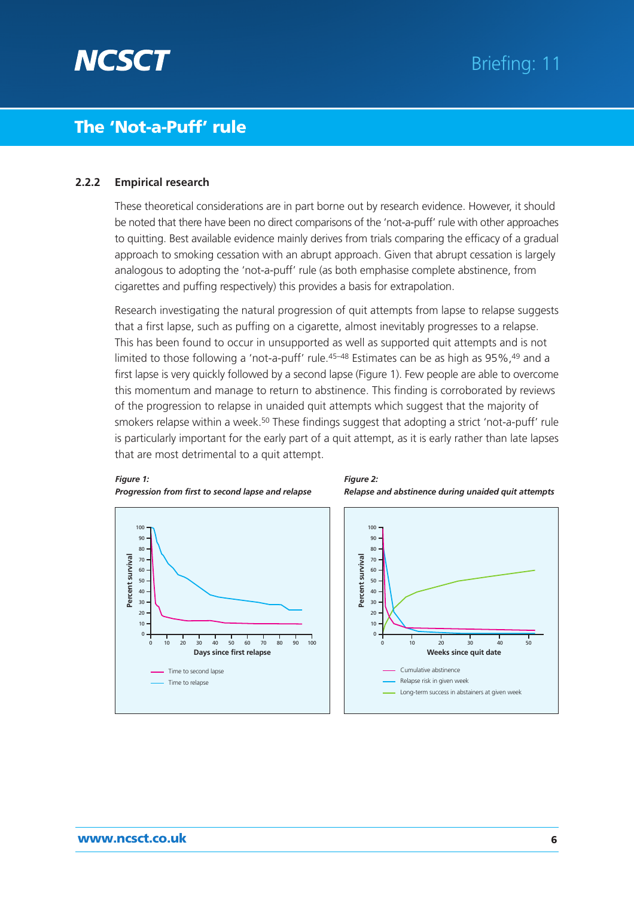

#### **2.2.2 Empirical research**

*Figure 1:*

These theoretical considerations are in part borne out by research evidence. However, it should be noted that there have been no direct comparisons of the 'not-a-puff' rule with other approaches to quitting. Best available evidence mainly derives from trials comparing the efficacy of a gradual approach to smoking cessation with an abrupt approach. Given that abrupt cessation is largely analogous to adopting the 'not-a-puff' rule (as both emphasise complete abstinence, from cigarettes and puffing respectively) this provides a basis for extrapolation.

Research investigating the natural progression of quit attempts from lapse to relapse suggests that a first lapse, such as puffing on a cigarette, almost inevitably progresses to a relapse. This has been found to occur in unsupported as well as supported quit attempts and is not limited to those following a 'not-a-puff' rule.<sup>45-48</sup> Estimates can be as high as 95%,<sup>49</sup> and a first lapse is very quickly followed by a second lapse (Figure 1). Few people are able to overcome this momentum and manage to return to abstinence. This finding is corroborated by reviews of the progression to relapse in unaided quit attempts which suggest that the majority of smokers relapse within a week.<sup>50</sup> These findings suggest that adopting a strict 'not-a-puff' rule is particularly important for the early part of a quit attempt, as it is early rather than late lapses that are most detrimental to a quit attempt.





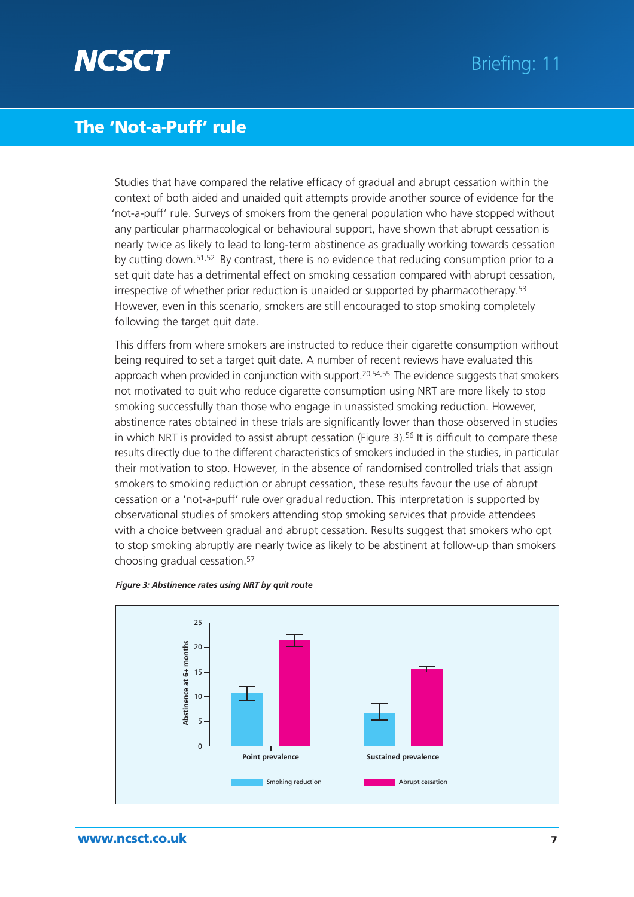

Studies that have compared the relative efficacy of gradual and abrupt cessation within the context of both aided and unaided quit attempts provide another source of evidence for the 'not-a-puff' rule. Surveys of smokers from the general population who have stopped without any particular pharmacological or behavioural support, have shown that abrupt cessation is nearly twice as likely to lead to long-term abstinence as gradually working towards cessation by cutting down.51,52 By contrast, there is no evidence that reducing consumption prior to a set quit date has a detrimental effect on smoking cessation compared with abrupt cessation, irrespective of whether prior reduction is unaided or supported by pharmacotherapy.<sup>53</sup> However, even in this scenario, smokers are still encouraged to stop smoking completely following the target quit date.

This differs from where smokers are instructed to reduce their cigarette consumption without being required to set a target quit date. A number of recent reviews have evaluated this approach when provided in conjunction with support.<sup>20,54,55</sup> The evidence suggests that smokers not motivated to quit who reduce cigarette consumption using NRT are more likely to stop smoking successfully than those who engage in unassisted smoking reduction. However, abstinence rates obtained in these trials are significantly lower than those observed in studies in which NRT is provided to assist abrupt cessation (Figure 3).<sup>56</sup> It is difficult to compare these results directly due to the different characteristics of smokers included in the studies, in particular their motivation to stop. However, in the absence of randomised controlled trials that assign smokers to smoking reduction or abrupt cessation, these results favour the use of abrupt cessation or a 'not-a-puff' rule over gradual reduction. This interpretation is supported by observational studies of smokers attending stop smoking services that provide attendees with a choice between gradual and abrupt cessation. Results suggest that smokers who opt to stop smoking abruptly are nearly twice as likely to be abstinent at follow-up than smokers choosing gradual cessation.57



#### *Figure 3: Abstinence rates using NRT by quit route*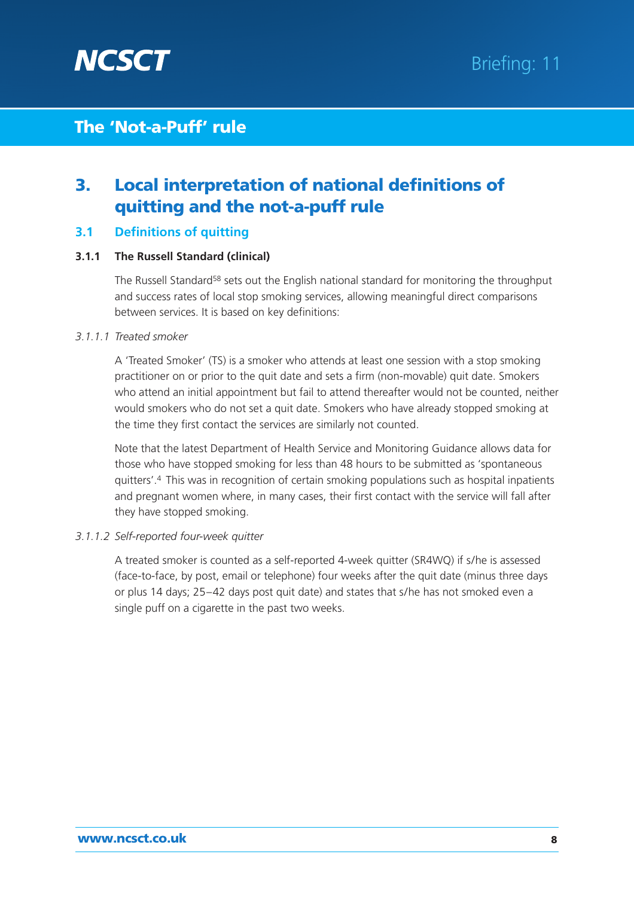

# **3. Local interpretation of national definitions of quitting and the not-a-puff rule**

### **3.1 Definitions of quitting**

### **3.1.1 The Russell Standard (clinical)**

The Russell Standard<sup>58</sup> sets out the English national standard for monitoring the throughput and success rates of local stop smoking services, allowing meaningful direct comparisons between services. It is based on key definitions:

### *3.1.1.1 Treated smoker*

A 'Treated Smoker' (TS) is a smoker who attends at least one session with a stop smoking practitioner on or prior to the quit date and sets a firm (non-movable) quit date. Smokers who attend an initial appointment but fail to attend thereafter would not be counted, neither would smokers who do not set a quit date. Smokers who have already stopped smoking at the time they first contact the services are similarly not counted.

Note that the latest Department of Health Service and Monitoring Guidance allows data for those who have stopped smoking for less than 48 hours to be submitted as 'spontaneous quitters'.4 This was in recognition of certain smoking populations such as hospital inpatients and pregnant women where, in many cases, their first contact with the service will fall after they have stopped smoking.

#### *3.1.1.2 Self-reported four-week quitter*

A treated smoker is counted as a self-reported 4-week quitter (SR4WQ) if s/he is assessed (face-to-face, by post, email or telephone) four weeks after the quit date (minus three days or plus 14 days; 25–42 days post quit date) and states that s/he has not smoked even a single puff on a cigarette in the past two weeks.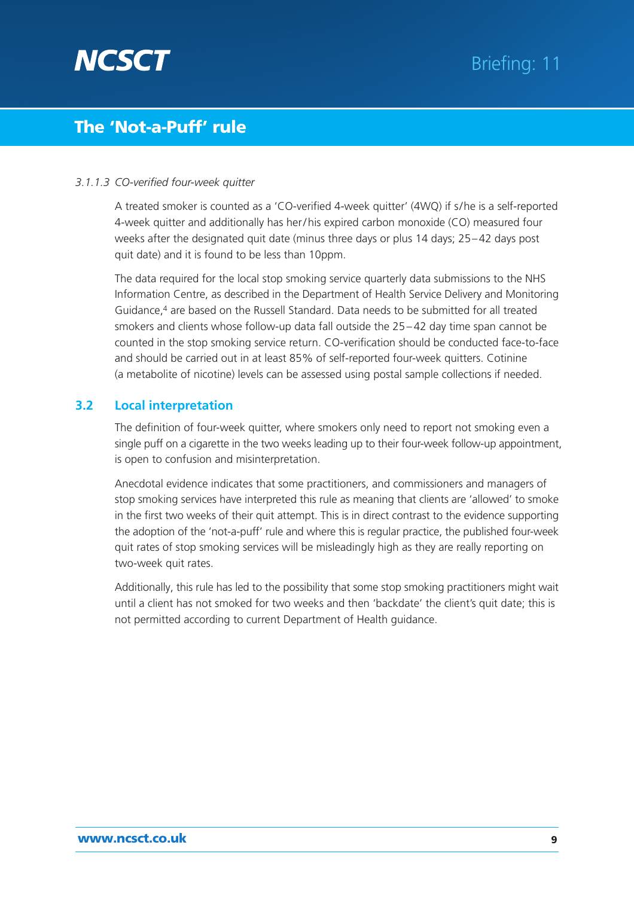

### *3.1.1.3 CO-verified four-week quitter*

A treated smoker is counted as a 'CO-verified 4-week quitter' (4WQ) if s/he is a self-reported 4-week quitter and additionally has her / his expired carbon monoxide (CO) measured four weeks after the designated quit date (minus three days or plus 14 days; 25–42 days post quit date) and it is found to be less than 10ppm.

The data required for the local stop smoking service quarterly data submissions to the NHS Information Centre, as described in the Department of Health Service Delivery and Monitoring Guidance,4 are based on the Russell Standard. Data needs to be submitted for all treated smokers and clients whose follow-up data fall outside the 25– 42 day time span cannot be counted in the stop smoking service return. CO-verification should be conducted face-to-face and should be carried out in at least 85% of self-reported four-week quitters. Cotinine (a metabolite of nicotine) levels can be assessed using postal sample collections if needed.

### **3.2 Local interpretation**

The definition of four-week quitter, where smokers only need to report not smoking even a single puff on a cigarette in the two weeks leading up to their four-week follow-up appointment, is open to confusion and misinterpretation.

Anecdotal evidence indicates that some practitioners, and commissioners and managers of stop smoking services have interpreted this rule as meaning that clients are 'allowed' to smoke in the first two weeks of their quit attempt. This is in direct contrast to the evidence supporting the adoption of the 'not-a-puff' rule and where this is regular practice, the published four-week quit rates of stop smoking services will be misleadingly high as they are really reporting on two-week quit rates.

Additionally, this rule has led to the possibility that some stop smoking practitioners might wait until a client has not smoked for two weeks and then 'backdate' the client's quit date; this is not permitted according to current Department of Health guidance.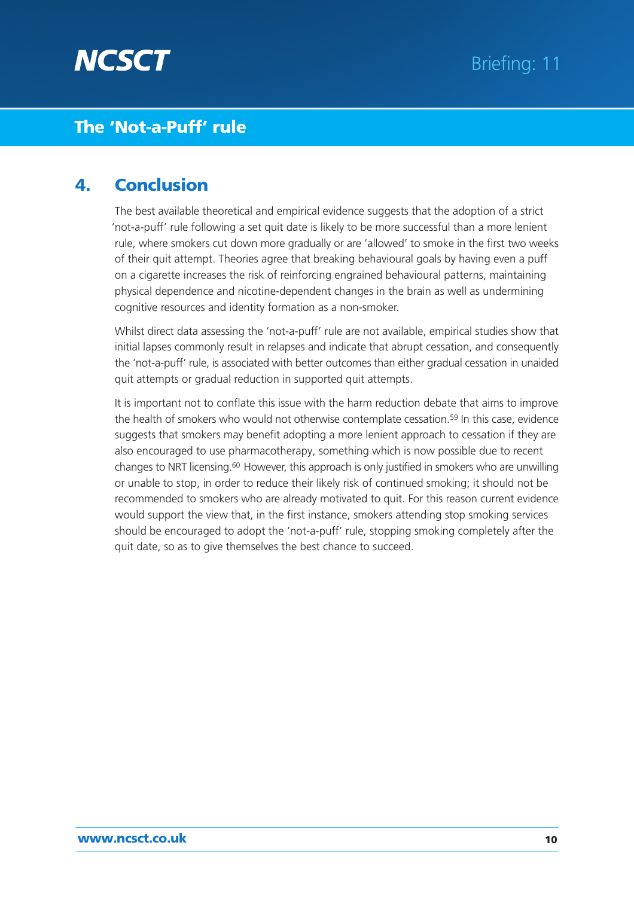

### **4. Conclusion**

The best available theoretical and empirical evidence suggests that the adoption of a strict 'not-a-puff' rule following a set quit date is likely to be more successful than a more lenient rule, where smokers cut down more gradually or are 'allowed' to smoke in the first two weeks of their quit attempt. Theories agree that breaking behavioural goals by having even a puff on a cigarette increases the risk of reinforcing engrained behavioural patterns, maintaining physical dependence and nicotine-dependent changes in the brain as well as undermining cognitive resources and identity formation as a non-smoker.

Whilst direct data assessing the 'not-a-puff' rule are not available, empirical studies show that initial lapses commonly result in relapses and indicate that abrupt cessation, and consequently the 'not-a-puff' rule, is associated with better outcomes than either gradual cessation in unaided quit attempts or gradual reduction in supported quit attempts.

It is important not to conflate this issue with the harm reduction debate that aims to improve the health of smokers who would not otherwise contemplate cessation.59 In this case, evidence suggests that smokers may benefit adopting a more lenient approach to cessation if they are also encouraged to use pharmacotherapy, something which is now possible due to recent changes to NRT licensing.60 However, this approach is only justified in smokers who are unwilling or unable to stop, in order to reduce their likely risk of continued smoking; it should not be recommended to smokers who are already motivated to quit. For this reason current evidence would support the view that, in the first instance, smokers attending stop smoking services should be encouraged to adopt the 'not-a-puff' rule, stopping smoking completely after the quit date, so as to give themselves the best chance to succeed.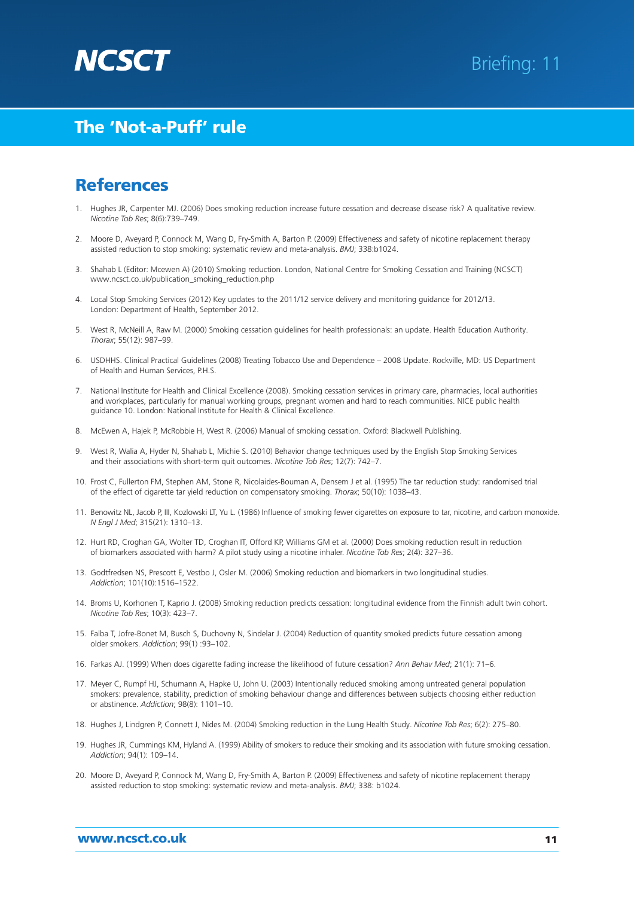

### **References**

- 1. Hughes JR, Carpenter MJ. (2006) Does smoking reduction increase future cessation and decrease disease risk? A qualitative review. *Nicotine Tob Res*; 8(6):739–749.
- 2. Moore D, Aveyard P, Connock M, Wang D, Fry-Smith A, Barton P. (2009) Effectiveness and safety of nicotine replacement therapy assisted reduction to stop smoking: systematic review and meta-analysis. *BMJ*; 338:b1024.
- 3. Shahab L (Editor: Mcewen A) (2010) Smoking reduction. London, National Centre for Smoking Cessation and Training (NCSCT) www.ncsct.co.uk/publication\_smoking\_reduction.php
- 4. Local Stop Smoking Services (2012) Key updates to the 2011/12 service delivery and monitoring guidance for 2012/13. London: Department of Health, September 2012.
- 5. West R, McNeill A, Raw M. (2000) Smoking cessation guidelines for health professionals: an update. Health Education Authority. *Thorax*; 55(12): 987–99.
- 6. USDHHS. Clinical Practical Guidelines (2008) Treating Tobacco Use and Dependence 2008 Update. Rockville, MD: US Department of Health and Human Services, P.H.S.
- 7. National Institute for Health and Clinical Excellence (2008). Smoking cessation services in primary care, pharmacies, local authorities and workplaces, particularly for manual working groups, pregnant women and hard to reach communities. NICE public health guidance 10. London: National Institute for Health & Clinical Excellence.
- 8. McEwen A, Hajek P, McRobbie H, West R. (2006) Manual of smoking cessation. Oxford: Blackwell Publishing.
- 9. West R, Walia A, Hyder N, Shahab L, Michie S. (2010) Behavior change techniques used by the English Stop Smoking Services and their associations with short-term quit outcomes. *Nicotine Tob Res*; 12(7): 742–7.
- 10. Frost C, Fullerton FM, Stephen AM, Stone R, Nicolaides-Bouman A, Densem J et al. (1995) The tar reduction study: randomised trial of the effect of cigarette tar yield reduction on compensatory smoking. *Thorax*; 50(10): 1038–43.
- 11. Benowitz NL, Jacob P, III, Kozlowski LT, Yu L. (1986) Influence of smoking fewer cigarettes on exposure to tar, nicotine, and carbon monoxide. *N Engl J Med*; 315(21): 1310–13.
- 12. Hurt RD, Croghan GA, Wolter TD, Croghan IT, Offord KP, Williams GM et al. (2000) Does smoking reduction result in reduction of biomarkers associated with harm? A pilot study using a nicotine inhaler. *Nicotine Tob Res*; 2(4): 327–36.
- 13. Godtfredsen NS, Prescott E, Vestbo J, Osler M. (2006) Smoking reduction and biomarkers in two longitudinal studies. *Addiction*; 101(10):1516–1522.
- 14. Broms U, Korhonen T, Kaprio J. (2008) Smoking reduction predicts cessation: longitudinal evidence from the Finnish adult twin cohort. *Nicotine Tob Res*; 10(3): 423–7.
- 15. Falba T, Jofre-Bonet M, Busch S, Duchovny N, Sindelar J. (2004) Reduction of quantity smoked predicts future cessation among older smokers. *Addiction*; 99(1) :93–102.
- 16. Farkas AJ. (1999) When does cigarette fading increase the likelihood of future cessation? *Ann Behav Med*; 21(1): 71–6.
- 17. Meyer C, Rumpf HJ, Schumann A, Hapke U, John U. (2003) Intentionally reduced smoking among untreated general population smokers: prevalence, stability, prediction of smoking behaviour change and differences between subjects choosing either reduction or abstinence. *Addiction*; 98(8): 1101–10.
- 18. Hughes J, Lindgren P, Connett J, Nides M. (2004) Smoking reduction in the Lung Health Study. *Nicotine Tob Res*; 6(2): 275–80.
- 19. Hughes JR, Cummings KM, Hyland A. (1999) Ability of smokers to reduce their smoking and its association with future smoking cessation. *Addiction*; 94(1): 109–14.
- 20. Moore D, Aveyard P, Connock M, Wang D, Fry-Smith A, Barton P. (2009) Effectiveness and safety of nicotine replacement therapy assisted reduction to stop smoking: systematic review and meta-analysis. *BMJ*; 338: b1024.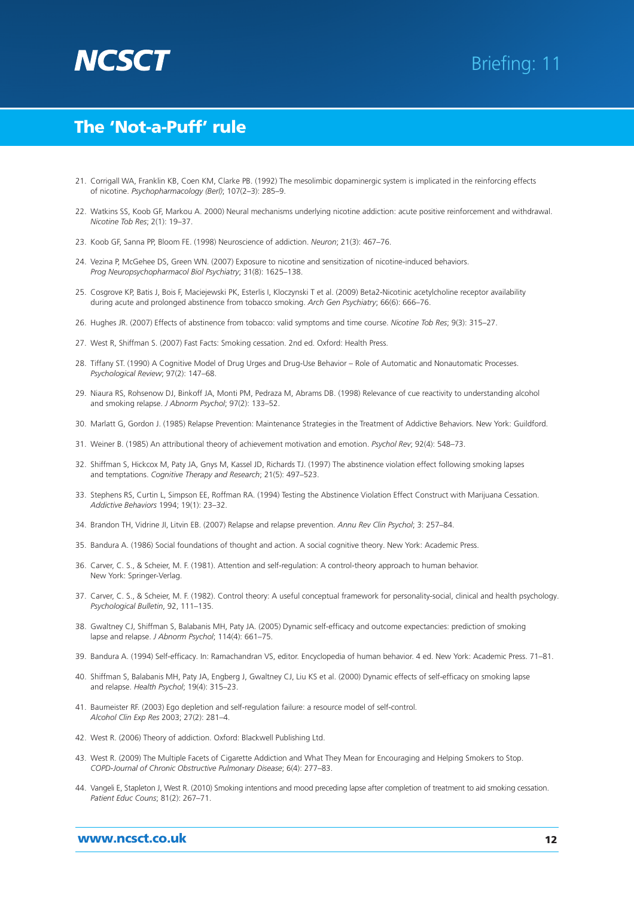

- 21. Corrigall WA, Franklin KB, Coen KM, Clarke PB. (1992) The mesolimbic dopaminergic system is implicated in the reinforcing effects of nicotine. *Psychopharmacology (Berl)*; 107(2–3): 285–9.
- 22. Watkins SS, Koob GF, Markou A. 2000) Neural mechanisms underlying nicotine addiction: acute positive reinforcement and withdrawal. *Nicotine Tob Res*; 2(1): 19–37.
- 23. Koob GF, Sanna PP, Bloom FE. (1998) Neuroscience of addiction. *Neuron*; 21(3): 467–76.
- 24. Vezina P, McGehee DS, Green WN. (2007) Exposure to nicotine and sensitization of nicotine-induced behaviors. *Prog Neuropsychopharmacol Biol Psychiatry*; 31(8): 1625–138.
- 25. Cosgrove KP, Batis J, Bois F, Maciejewski PK, Esterlis I, Kloczynski T et al. (2009) Beta2-Nicotinic acetylcholine receptor availability during acute and prolonged abstinence from tobacco smoking. *Arch Gen Psychiatry*; 66(6): 666–76.
- 26. Hughes JR. (2007) Effects of abstinence from tobacco: valid symptoms and time course. *Nicotine Tob Res*; 9(3): 315–27.
- 27. West R, Shiffman S. (2007) Fast Facts: Smoking cessation. 2nd ed. Oxford: Health Press.
- 28. Tiffany ST. (1990) A Cognitive Model of Drug Urges and Drug-Use Behavior Role of Automatic and Nonautomatic Processes. *Psychological Review*; 97(2): 147–68.
- 29. Niaura RS, Rohsenow DJ, Binkoff JA, Monti PM, Pedraza M, Abrams DB. (1998) Relevance of cue reactivity to understanding alcohol and smoking relapse. *J Abnorm Psychol*; 97(2): 133–52.
- 30. Marlatt G, Gordon J. (1985) Relapse Prevention: Maintenance Strategies in the Treatment of Addictive Behaviors. New York: Guildford.
- 31. Weiner B. (1985) An attributional theory of achievement motivation and emotion. *Psychol Rev*; 92(4): 548–73.
- 32. Shiffman S, Hickcox M, Paty JA, Gnys M, Kassel JD, Richards TJ. (1997) The abstinence violation effect following smoking lapses and temptations. *Cognitive Therapy and Research*; 21(5): 497–523.
- 33. Stephens RS, Curtin L, Simpson EE, Roffman RA. (1994) Testing the Abstinence Violation Effect Construct with Marijuana Cessation. *Addictive Behaviors* 1994; 19(1): 23–32.
- 34. Brandon TH, Vidrine JI, Litvin EB. (2007) Relapse and relapse prevention. *Annu Rev Clin Psychol*; 3: 257–84.
- 35. Bandura A. (1986) Social foundations of thought and action. A social cognitive theory. New York: Academic Press.
- 36. Carver, C. S., & Scheier, M. F. (1981). Attention and self-regulation: A control-theory approach to human behavior. New York: Springer-Verlag.
- 37. Carver, C. S., & Scheier, M. F. (1982). Control theory: A useful conceptual framework for personality-social, clinical and health psychology. *Psychological Bulletin*, 92, 111–135.
- 38. Gwaltney CJ, Shiffman S, Balabanis MH, Paty JA. (2005) Dynamic self-efficacy and outcome expectancies: prediction of smoking lapse and relapse. *J Abnorm Psychol*; 114(4): 661–75.
- 39. Bandura A. (1994) Self-efficacy. In: Ramachandran VS, editor. Encyclopedia of human behavior. 4 ed. New York: Academic Press. 71–81.
- 40. Shiffman S, Balabanis MH, Paty JA, Engberg J, Gwaltney CJ, Liu KS et al. (2000) Dynamic effects of self-efficacy on smoking lapse and relapse. *Health Psychol*; 19(4): 315–23.
- 41. Baumeister RF. (2003) Ego depletion and self-regulation failure: a resource model of self-control. *Alcohol Clin Exp Res* 2003; 27(2): 281–4.
- 42. West R. (2006) Theory of addiction. Oxford: Blackwell Publishing Ltd.
- 43. West R. (2009) The Multiple Facets of Cigarette Addiction and What They Mean for Encouraging and Helping Smokers to Stop. *COPD-Journal of Chronic Obstructive Pulmonary Disease*; 6(4): 277–83.
- 44. Vangeli E, Stapleton J, West R. (2010) Smoking intentions and mood preceding lapse after completion of treatment to aid smoking cessation. *Patient Educ Couns*; 81(2): 267–71.

#### www.ncsct.co.uk 12